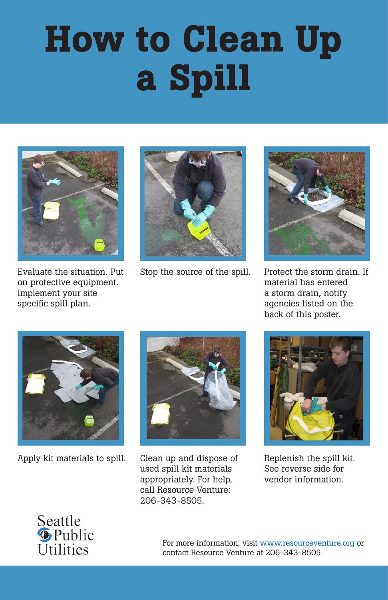

Evaluate the situation. Put on protective equipment. Implement your site specific spill plan.



Stop the source of the spill. Protect the storm drain. If



material has entered a storm drain, notify agencies listed on the back of this poster.







Apply kit materials to spill. Clean up and dispose of

used spill kit materials appropriately. For help, call Resource Venture: 206-343-8505.

> For more information, visit www.resourceventure.org or contact Resource Venture at 206-343-8505

Replenish the spill kit. See reverse side for vendor information.



# How to Clean Up a Spill